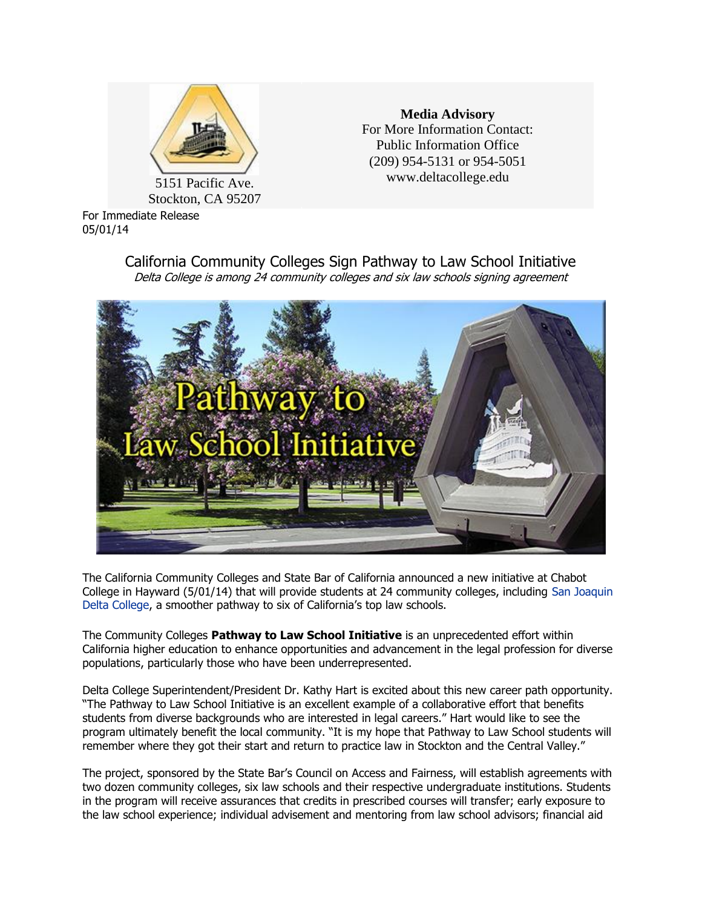

5151 Pacific Ave. Stockton, CA 95207

For Immediate Release 05/01/14

**Media Advisory** For More Information Contact: Public Information Office (209) 954-5131 or 954-5051 www.deltacollege.edu

California Community Colleges Sign Pathway to Law School Initiative Delta College is among 24 community colleges and six law schools signing agreement



The California Community Colleges and State Bar of California announced a new initiative at Chabot College in Hayward (5/01/14) that will provide students at 24 community colleges, including [San Joaquin](http://www.deltacollege.edu/)  [Delta College](http://www.deltacollege.edu/), a smoother pathway to six of California's top law schools.

The Community Colleges **Pathway to Law School Initiative** is an unprecedented effort within California higher education to enhance opportunities and advancement in the legal profession for diverse populations, particularly those who have been underrepresented.

Delta College Superintendent/President Dr. Kathy Hart is excited about this new career path opportunity. "The Pathway to Law School Initiative is an excellent example of a collaborative effort that benefits students from diverse backgrounds who are interested in legal careers." Hart would like to see the program ultimately benefit the local community. "It is my hope that Pathway to Law School students will remember where they got their start and return to practice law in Stockton and the Central Valley."

The project, sponsored by the State Bar's Council on Access and Fairness, will establish agreements with two dozen community colleges, six law schools and their respective undergraduate institutions. Students in the program will receive assurances that credits in prescribed courses will transfer; early exposure to the law school experience; individual advisement and mentoring from law school advisors; financial aid